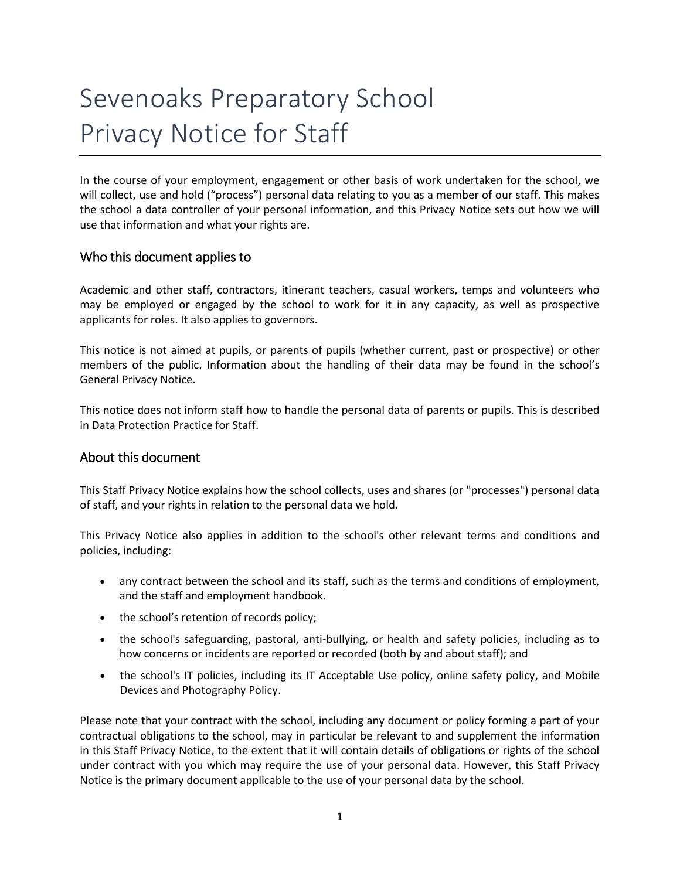# Sevenoaks Preparatory School Privacy Notice for Staff

In the course of your employment, engagement or other basis of work undertaken for the school, we will collect, use and hold ("process") personal data relating to you as a member of our staff. This makes the school a data controller of your personal information, and this Privacy Notice sets out how we will use that information and what your rights are.

## Who this document applies to

Academic and other staff, contractors, itinerant teachers, casual workers, temps and volunteers who may be employed or engaged by the school to work for it in any capacity, as well as prospective applicants for roles. It also applies to governors.

This notice is not aimed at pupils, or parents of pupils (whether current, past or prospective) or other members of the public. Information about the handling of their data may be found in the school's General Privacy Notice.

This notice does not inform staff how to handle the personal data of parents or pupils. This is described in Data Protection Practice for Staff.

## About this document

This Staff Privacy Notice explains how the school collects, uses and shares (or "processes") personal data of staff, and your rights in relation to the personal data we hold.

This Privacy Notice also applies in addition to the school's other relevant terms and conditions and policies, including:

- any contract between the school and its staff, such as the terms and conditions of employment, and the staff and employment handbook.
- the school's retention of records policy;
- the school's safeguarding, pastoral, anti-bullying, or health and safety policies, including as to how concerns or incidents are reported or recorded (both by and about staff); and
- the school's IT policies, including its IT Acceptable Use policy, online safety policy, and Mobile Devices and Photography Policy.

Please note that your contract with the school, including any document or policy forming a part of your contractual obligations to the school, may in particular be relevant to and supplement the information in this Staff Privacy Notice, to the extent that it will contain details of obligations or rights of the school under contract with you which may require the use of your personal data. However, this Staff Privacy Notice is the primary document applicable to the use of your personal data by the school.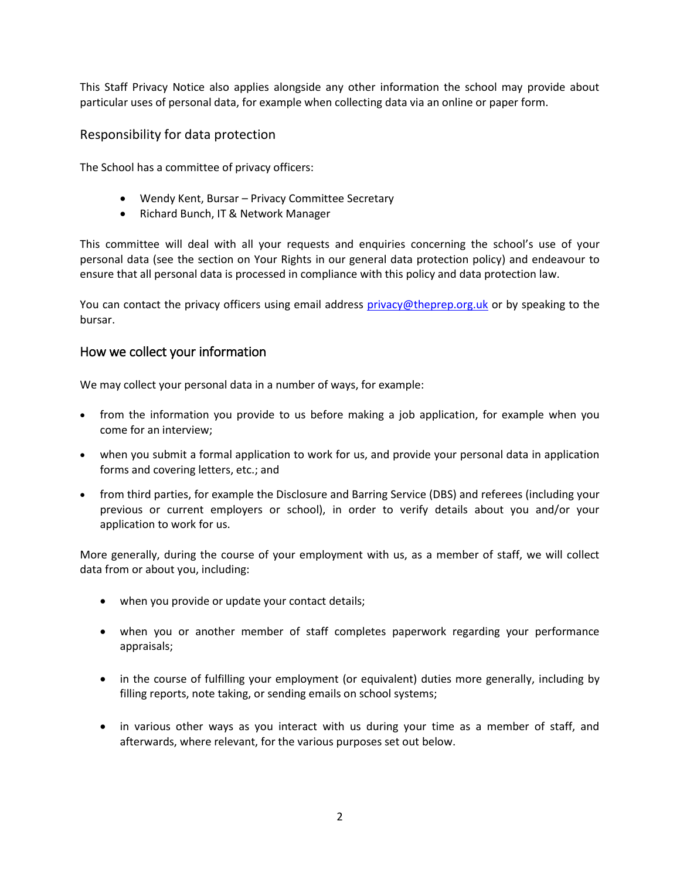This Staff Privacy Notice also applies alongside any other information the school may provide about particular uses of personal data, for example when collecting data via an online or paper form.

## Responsibility for data protection

The School has a committee of privacy officers:

- Wendy Kent, Bursar Privacy Committee Secretary
- Richard Bunch, IT & Network Manager

This committee will deal with all your requests and enquiries concerning the school's use of your personal data (see the section on Your Rights in our general data protection policy) and endeavour to ensure that all personal data is processed in compliance with this policy and data protection law.

You can contact the privacy officers using email address [privacy@theprep.org.uk](mailto:privacy@theprep.org.uk) or by speaking to the bursar.

## How we collect your information

We may collect your personal data in a number of ways, for example:

- from the information you provide to us before making a job application, for example when you come for an interview;
- when you submit a formal application to work for us, and provide your personal data in application forms and covering letters, etc.; and
- from third parties, for example the Disclosure and Barring Service (DBS) and referees (including your previous or current employers or school), in order to verify details about you and/or your application to work for us.

More generally, during the course of your employment with us, as a member of staff, we will collect data from or about you, including:

- when you provide or update your contact details;
- when you or another member of staff completes paperwork regarding your performance appraisals;
- in the course of fulfilling your employment (or equivalent) duties more generally, including by filling reports, note taking, or sending emails on school systems;
- in various other ways as you interact with us during your time as a member of staff, and afterwards, where relevant, for the various purposes set out below.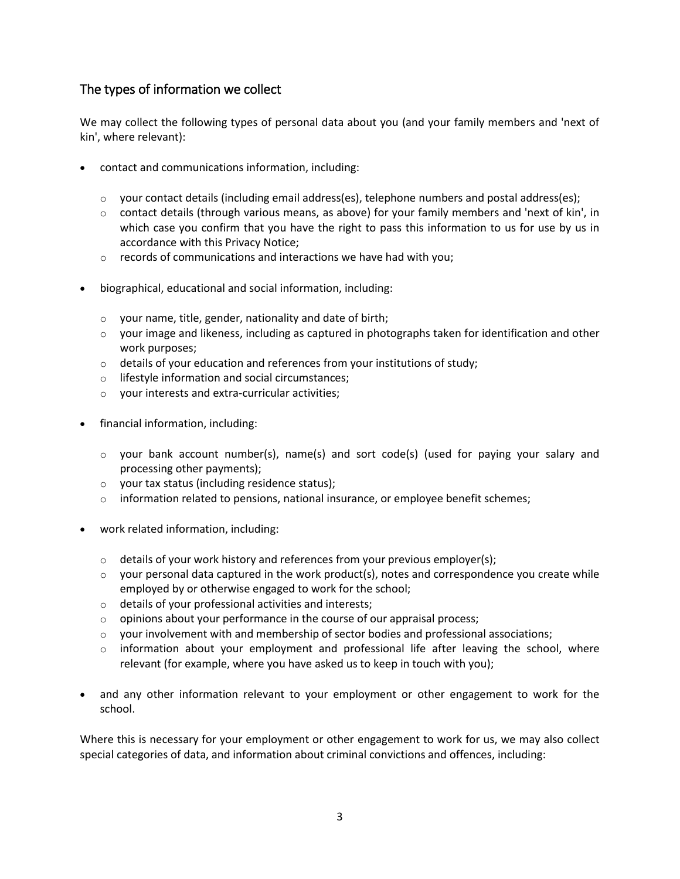## The types of information we collect

We may collect the following types of personal data about you (and your family members and 'next of kin', where relevant):

- contact and communications information, including:
	- $\circ$  your contact details (including email address(es), telephone numbers and postal address(es);
	- o contact details (through various means, as above) for your family members and 'next of kin', in which case you confirm that you have the right to pass this information to us for use by us in accordance with this Privacy Notice;
	- $\circ$  records of communications and interactions we have had with you;
- biographical, educational and social information, including:
	- o your name, title, gender, nationality and date of birth;
	- o your image and likeness, including as captured in photographs taken for identification and other work purposes;
	- $\circ$  details of your education and references from your institutions of study;
	- o lifestyle information and social circumstances;
	- o your interests and extra-curricular activities;
- financial information, including:
	- $\circ$  your bank account number(s), name(s) and sort code(s) (used for paying your salary and processing other payments);
	- o your tax status (including residence status);
	- $\circ$  information related to pensions, national insurance, or employee benefit schemes;
- work related information, including:
	- $\circ$  details of your work history and references from your previous employer(s);
	- $\circ$  your personal data captured in the work product(s), notes and correspondence you create while employed by or otherwise engaged to work for the school;
	- o details of your professional activities and interests;
	- o opinions about your performance in the course of our appraisal process;
	- $\circ$  your involvement with and membership of sector bodies and professional associations;
	- o information about your employment and professional life after leaving the school, where relevant (for example, where you have asked us to keep in touch with you);
- and any other information relevant to your employment or other engagement to work for the school.

Where this is necessary for your employment or other engagement to work for us, we may also collect special categories of data, and information about criminal convictions and offences, including: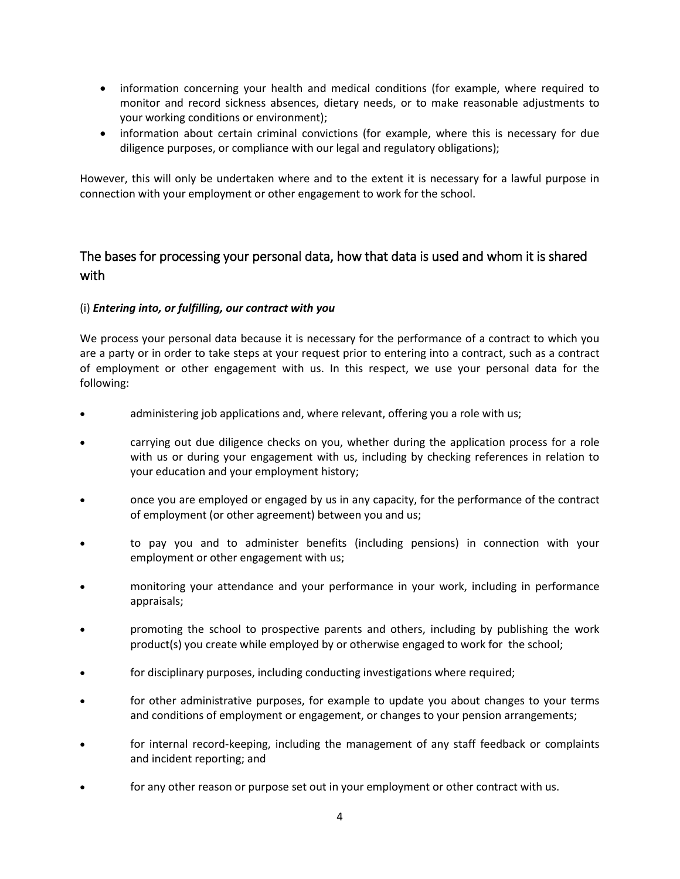- information concerning your health and medical conditions (for example, where required to monitor and record sickness absences, dietary needs, or to make reasonable adjustments to your working conditions or environment);
- information about certain criminal convictions (for example, where this is necessary for due diligence purposes, or compliance with our legal and regulatory obligations);

However, this will only be undertaken where and to the extent it is necessary for a lawful purpose in connection with your employment or other engagement to work for the school.

# The bases for processing your personal data, how that data is used and whom it is shared with

## (i) *Entering into, or fulfilling, our contract with you*

We process your personal data because it is necessary for the performance of a contract to which you are a party or in order to take steps at your request prior to entering into a contract, such as a contract of employment or other engagement with us. In this respect, we use your personal data for the following:

- administering job applications and, where relevant, offering you a role with us;
- carrying out due diligence checks on you, whether during the application process for a role with us or during your engagement with us, including by checking references in relation to your education and your employment history;
- once you are employed or engaged by us in any capacity, for the performance of the contract of employment (or other agreement) between you and us;
- to pay you and to administer benefits (including pensions) in connection with your employment or other engagement with us;
- monitoring your attendance and your performance in your work, including in performance appraisals;
- promoting the school to prospective parents and others, including by publishing the work product(s) you create while employed by or otherwise engaged to work for the school;
- for disciplinary purposes, including conducting investigations where required;
- for other administrative purposes, for example to update you about changes to your terms and conditions of employment or engagement, or changes to your pension arrangements;
- for internal record-keeping, including the management of any staff feedback or complaints and incident reporting; and
- for any other reason or purpose set out in your employment or other contract with us.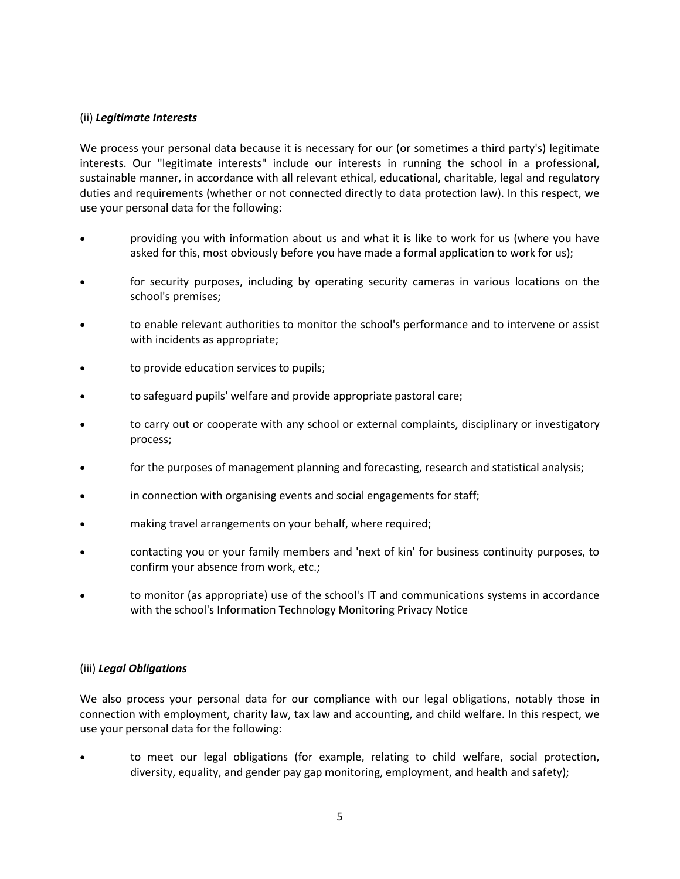#### (ii) *Legitimate Interests*

We process your personal data because it is necessary for our (or sometimes a third party's) legitimate interests. Our "legitimate interests" include our interests in running the school in a professional, sustainable manner, in accordance with all relevant ethical, educational, charitable, legal and regulatory duties and requirements (whether or not connected directly to data protection law). In this respect, we use your personal data for the following:

- providing you with information about us and what it is like to work for us (where you have asked for this, most obviously before you have made a formal application to work for us);
- for security purposes, including by operating security cameras in various locations on the school's premises;
- to enable relevant authorities to monitor the school's performance and to intervene or assist with incidents as appropriate;
- to provide education services to pupils;
- to safeguard pupils' welfare and provide appropriate pastoral care;
- to carry out or cooperate with any school or external complaints, disciplinary or investigatory process;
- for the purposes of management planning and forecasting, research and statistical analysis;
- in connection with organising events and social engagements for staff;
- making travel arrangements on your behalf, where required;
- contacting you or your family members and 'next of kin' for business continuity purposes, to confirm your absence from work, etc.;
- to monitor (as appropriate) use of the school's IT and communications systems in accordance with the school's Information Technology Monitoring Privacy Notice

#### (iii) *Legal Obligations*

We also process your personal data for our compliance with our legal obligations, notably those in connection with employment, charity law, tax law and accounting, and child welfare. In this respect, we use your personal data for the following:

 to meet our legal obligations (for example, relating to child welfare, social protection, diversity, equality, and gender pay gap monitoring, employment, and health and safety);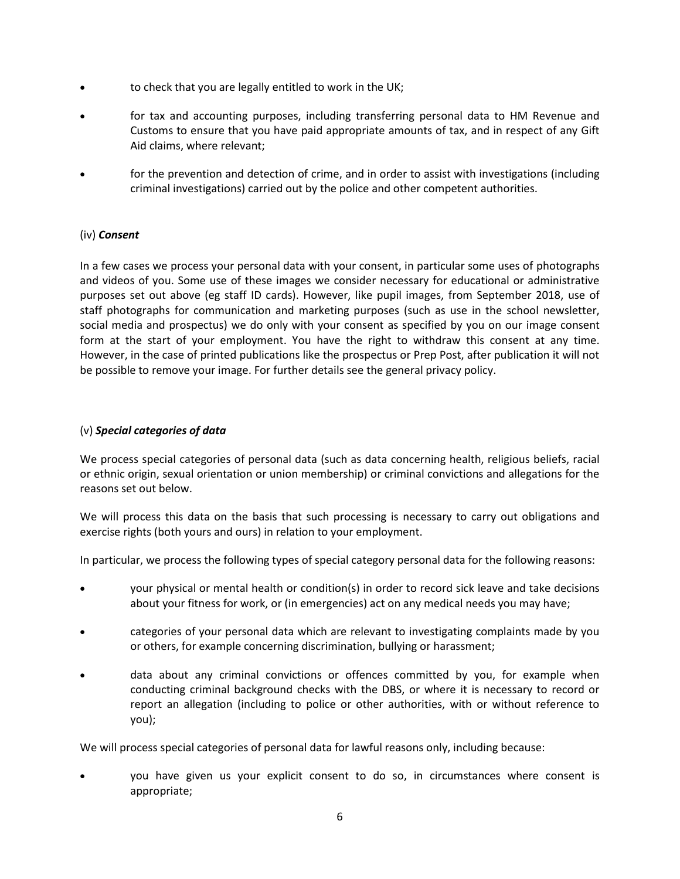- to check that you are legally entitled to work in the UK;
- for tax and accounting purposes, including transferring personal data to HM Revenue and Customs to ensure that you have paid appropriate amounts of tax, and in respect of any Gift Aid claims, where relevant;
- for the prevention and detection of crime, and in order to assist with investigations (including criminal investigations) carried out by the police and other competent authorities.

## (iv) *Consent*

In a few cases we process your personal data with your consent, in particular some uses of photographs and videos of you. Some use of these images we consider necessary for educational or administrative purposes set out above (eg staff ID cards). However, like pupil images, from September 2018, use of staff photographs for communication and marketing purposes (such as use in the school newsletter, social media and prospectus) we do only with your consent as specified by you on our image consent form at the start of your employment. You have the right to withdraw this consent at any time. However, in the case of printed publications like the prospectus or Prep Post, after publication it will not be possible to remove your image. For further details see the general privacy policy.

#### (v) *Special categories of data*

We process special categories of personal data (such as data concerning health, religious beliefs, racial or ethnic origin, sexual orientation or union membership) or criminal convictions and allegations for the reasons set out below.

We will process this data on the basis that such processing is necessary to carry out obligations and exercise rights (both yours and ours) in relation to your employment.

In particular, we process the following types of special category personal data for the following reasons:

- your physical or mental health or condition(s) in order to record sick leave and take decisions about your fitness for work, or (in emergencies) act on any medical needs you may have;
- categories of your personal data which are relevant to investigating complaints made by you or others, for example concerning discrimination, bullying or harassment;
- data about any criminal convictions or offences committed by you, for example when conducting criminal background checks with the DBS, or where it is necessary to record or report an allegation (including to police or other authorities, with or without reference to you);

We will process special categories of personal data for lawful reasons only, including because:

 you have given us your explicit consent to do so, in circumstances where consent is appropriate;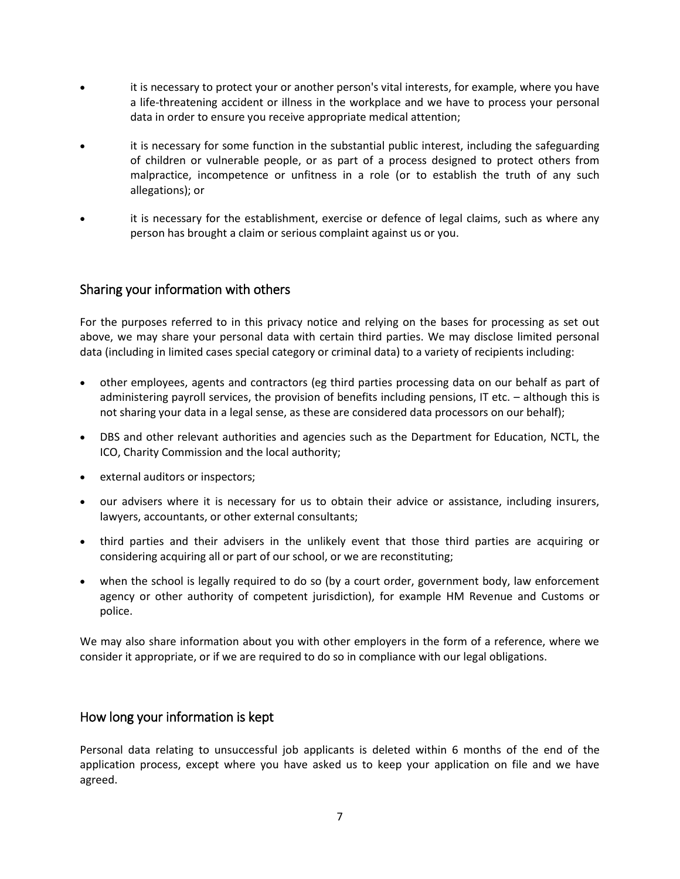- it is necessary to protect your or another person's vital interests, for example, where you have a life-threatening accident or illness in the workplace and we have to process your personal data in order to ensure you receive appropriate medical attention;
- it is necessary for some function in the substantial public interest, including the safeguarding of children or vulnerable people, or as part of a process designed to protect others from malpractice, incompetence or unfitness in a role (or to establish the truth of any such allegations); or
- it is necessary for the establishment, exercise or defence of legal claims, such as where any person has brought a claim or serious complaint against us or you.

## Sharing your information with others

For the purposes referred to in this privacy notice and relying on the bases for processing as set out above, we may share your personal data with certain third parties. We may disclose limited personal data (including in limited cases special category or criminal data) to a variety of recipients including:

- other employees, agents and contractors (eg third parties processing data on our behalf as part of administering payroll services, the provision of benefits including pensions, IT etc. – although this is not sharing your data in a legal sense, as these are considered data processors on our behalf);
- DBS and other relevant authorities and agencies such as the Department for Education, NCTL, the ICO, Charity Commission and the local authority;
- external auditors or inspectors;
- our advisers where it is necessary for us to obtain their advice or assistance, including insurers, lawyers, accountants, or other external consultants;
- third parties and their advisers in the unlikely event that those third parties are acquiring or considering acquiring all or part of our school, or we are reconstituting;
- when the school is legally required to do so (by a court order, government body, law enforcement agency or other authority of competent jurisdiction), for example HM Revenue and Customs or police.

We may also share information about you with other employers in the form of a reference, where we consider it appropriate, or if we are required to do so in compliance with our legal obligations.

## How long your information is kept

Personal data relating to unsuccessful job applicants is deleted within 6 months of the end of the application process, except where you have asked us to keep your application on file and we have agreed.